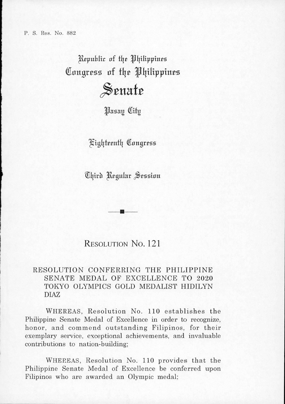Republic of *the Philippines* Congress of the Philippines Senate

Hasay City

<^tgljfpenfl| Congrrss

Chird Regular Session

## Resolution No. 121

## RESOLUTION CONFERRING THE PHILIPPINE SENATE MEDAL OF EXCELLENCE TO 2020 TOKYO OLYMPICS GOLD MEDALIST HIDILYN DIAZ

Whereas, Resolution No. 110 establishes the Philippine Senate Medal of Excellence in order to recognize, honor, and commend outstanding Filipinos, for their exemplary service, exceptional achievements, and invaluable contributions to nation-building;

WHEREAS, Resolution No. 110 provides that the Philippine Senate Medal of Excellence be conferred upon Filipinos who are awarded an Olympic medal;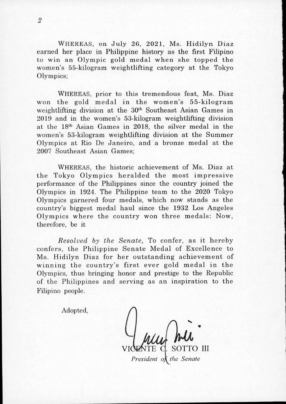WHEREAS, on July 26, 2021, Ms. Hidilyn Diaz earned her place in Phihppine history as the first Filipino to win an Olympic gold medal when she topped the women's 55-kilogram weightlifting category at the Tokyo Olympics;

WHEREAS, prior to this tremendous feat, Ms. Diaz won the gold medal in the women's 55-kilogram weightlifting division at the 30<sup>th</sup> Southeast Asian Games in 2019 and in the women's 53-kilogram weightlifting division at the 18th Asian Games in 2018, the silver medal in the women's 53-kilogram weightlifting division at the Summer Olympics at Rio De Janeiro, and a bronze medal at the 2007 Southeast Asian Games;

Whereas, the historic achievement of Ms. Diaz at the Tokyo Olympics heralded the most impressive performance of the Philippines since the country joined the Olympics in 1924. The Philippine team to the 2020 Tokyo Olympics garnered four medals, which now stands as the country's biggest medal haul since the 1932 Los Angeles Olympics where the country won three medals: Now, therefore, be it

*Resolved by the Senate,* To confer, as it hereby confers, the Philippine Senate Medal of Excellence to Ms. Hidilyn Diaz for her outstanding achievement of winning the country's first ever gold medal in the Olympics, thus bringing honor and prestige to the Repubhc of the Philippines and serving as an inspiration to the Fihpino people.

Adopted,

TO III

*President of the Senate*